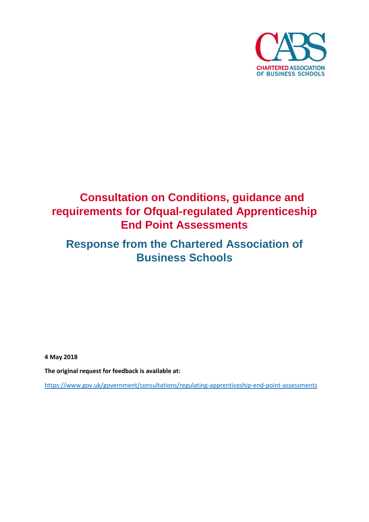

# **Consultation on Conditions, guidance and requirements for Ofqual-regulated Apprenticeship End Point Assessments**

# **Response from the Chartered Association of Business Schools**

**4 May 2018**

**The original request for feedback is available at:**

<https://www.gov.uk/government/consultations/regulating-apprenticeship-end-point-assessments>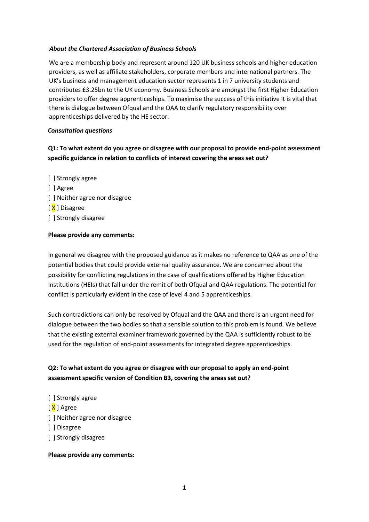#### *About the Chartered Association of Business Schools*

We are a membership body and represent around 120 UK business schools and higher education providers, as well as affiliate stakeholders, corporate members and international partners. The UK's business and management education sector represents 1 in 7 university students and contributes £3.25bn to the UK economy. Business Schools are amongst the first Higher Education providers to offer degree apprenticeships. To maximise the success of this initiative it is vital that there is dialogue between Ofqual and the QAA to clarify regulatory responsibility over apprenticeships delivered by the HE sector.

#### *Consultation questions*

## **Q1: To what extent do you agree or disagree with our proposal to provide end-point assessment specific guidance in relation to conflicts of interest covering the areas set out?**

[ ] Strongly agree [ ] Agree [ ] Neither agree nor disagree [ X ] Disagree [ ] Strongly disagree

#### **Please provide any comments:**

In general we disagree with the proposed guidance as it makes no reference to QAA as one of the potential bodies that could provide external quality assurance. We are concerned about the possibility for conflicting regulations in the case of qualifications offered by Higher Education Institutions (HEIs) that fall under the remit of both Ofqual and QAA regulations. The potential for conflict is particularly evident in the case of level 4 and 5 apprenticeships.

Such contradictions can only be resolved by Ofqual and the QAA and there is an urgent need for dialogue between the two bodies so that a sensible solution to this problem is found. We believe that the existing external examiner framework governed by the QAA is sufficiently robust to be used for the regulation of end-point assessments for integrated degree apprenticeships.

# **Q2: To what extent do you agree or disagree with our proposal to apply an end-point assessment specific version of Condition B3, covering the areas set out?**

- [ ] Strongly agree
- [ <mark>X</mark> ] Agree
- [ ] Neither agree nor disagree
- [ ] Disagree
- [ ] Strongly disagree

#### **Please provide any comments:**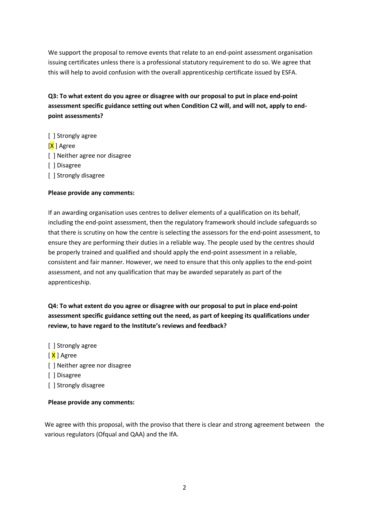We support the proposal to remove events that relate to an end-point assessment organisation issuing certificates unless there is a professional statutory requirement to do so. We agree that this will help to avoid confusion with the overall apprenticeship certificate issued by ESFA.

**Q3: To what extent do you agree or disagree with our proposal to put in place end-point assessment specific guidance setting out when Condition C2 will, and will not, apply to endpoint assessments?**

- [ ] Strongly agree
- [X ] Agree
- [ ] Neither agree nor disagree
- [ ] Disagree
- [ ] Strongly disagree

#### **Please provide any comments:**

If an awarding organisation uses centres to deliver elements of a qualification on its behalf, including the end-point assessment, then the regulatory framework should include safeguards so that there is scrutiny on how the centre is selecting the assessors for the end-point assessment, to ensure they are performing their duties in a reliable way. The people used by the centres should be properly trained and qualified and should apply the end-point assessment in a reliable, consistent and fair manner. However, we need to ensure that this only applies to the end-point assessment, and not any qualification that may be awarded separately as part of the apprenticeship.

# **Q4: To what extent do you agree or disagree with our proposal to put in place end-point assessment specific guidance setting out the need, as part of keeping its qualifications under review, to have regard to the Institute's reviews and feedback?**

- [ ] Strongly agree
- [ <mark>X</mark> ] Agree
- [ ] Neither agree nor disagree
- [ ] Disagree
- [ ] Strongly disagree

#### **Please provide any comments:**

We agree with this proposal, with the proviso that there is clear and strong agreement between the various regulators (Ofqual and QAA) and the IfA.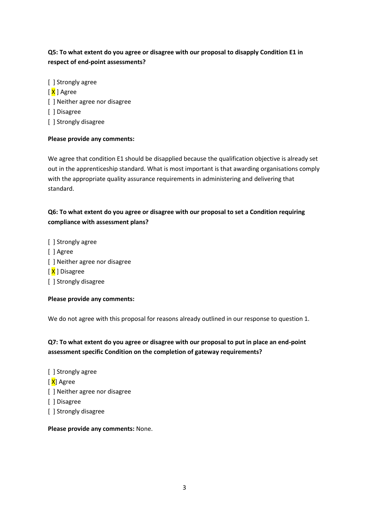# **Q5: To what extent do you agree or disagree with our proposal to disapply Condition E1 in respect of end-point assessments?**

- [ ] Strongly agree
- [ X ] Agree
- [] Neither agree nor disagree
- [ ] Disagree
- [ ] Strongly disagree

## **Please provide any comments:**

We agree that condition E1 should be disapplied because the qualification objective is already set out in the apprenticeship standard. What is most important is that awarding organisations comply with the appropriate quality assurance requirements in administering and delivering that standard.

# **Q6: To what extent do you agree or disagree with our proposal to set a Condition requiring compliance with assessment plans?**

[ ] Strongly agree [ ] Agree [ ] Neither agree nor disagree [ X ] Disagree [ ] Strongly disagree

## **Please provide any comments:**

We do not agree with this proposal for reasons already outlined in our response to question 1.

**Q7: To what extent do you agree or disagree with our proposal to put in place an end-point assessment specific Condition on the completion of gateway requirements?**

- [ ] Strongly agree
- [ <mark>X</mark>] Agree
- [] Neither agree nor disagree
- [ ] Disagree
- [ ] Strongly disagree

**Please provide any comments:** None.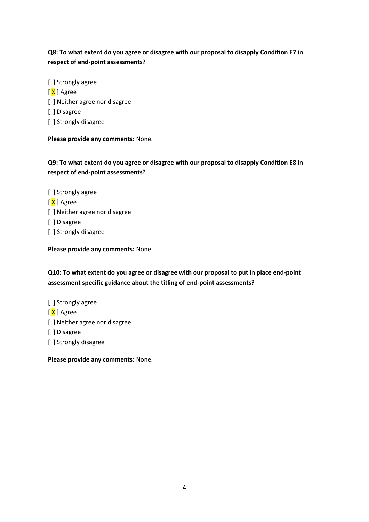# **Q8: To what extent do you agree or disagree with our proposal to disapply Condition E7 in respect of end-point assessments?**

- [ ] Strongly agree
- [ X ] Agree
- [] Neither agree nor disagree
- [ ] Disagree
- [ ] Strongly disagree

**Please provide any comments:** None.

# **Q9: To what extent do you agree or disagree with our proposal to disapply Condition E8 in respect of end-point assessments?**

- [ ] Strongly agree
- [ X ] Agree
- [ ] Neither agree nor disagree
- [ ] Disagree
- [ ] Strongly disagree

**Please provide any comments:** None.

**Q10: To what extent do you agree or disagree with our proposal to put in place end-point assessment specific guidance about the titling of end-point assessments?**

- [ ] Strongly agree
- [ X ] Agree
- [] Neither agree nor disagree
- [ ] Disagree
- [ ] Strongly disagree

**Please provide any comments:** None.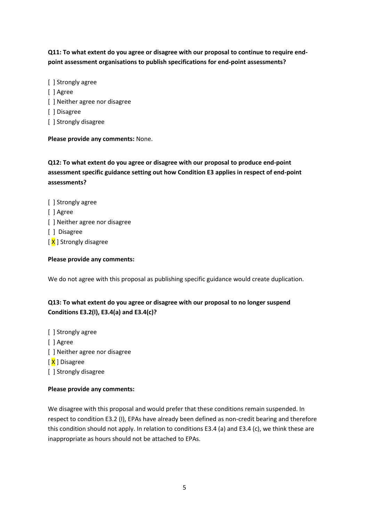**Q11: To what extent do you agree or disagree with our proposal to continue to require endpoint assessment organisations to publish specifications for end-point assessments?**

- [ ] Strongly agree
- [ ] Agree
- [] Neither agree nor disagree
- [ ] Disagree
- [ ] Strongly disagree

**Please provide any comments:** None.

**Q12: To what extent do you agree or disagree with our proposal to produce end-point assessment specific guidance setting out how Condition E3 applies in respect of end-point assessments?**

- [ ] Strongly agree
- [ ] Agree
- [] Neither agree nor disagree
- [ ] Disagree
- [ X ] Strongly disagree

#### **Please provide any comments:**

We do not agree with this proposal as publishing specific guidance would create duplication.

# **Q13: To what extent do you agree or disagree with our proposal to no longer suspend Conditions E3.2(l), E3.4(a) and E3.4(c)?**

- [ ] Strongly agree
- [ ] Agree
- [] Neither agree nor disagree
- [X ] Disagree
- [ ] Strongly disagree

## **Please provide any comments:**

We disagree with this proposal and would prefer that these conditions remain suspended. In respect to condition E3.2 (I), EPAs have already been defined as non-credit bearing and therefore this condition should not apply. In relation to conditions E3.4 (a) and E3.4 (c), we think these are inappropriate as hours should not be attached to EPAs.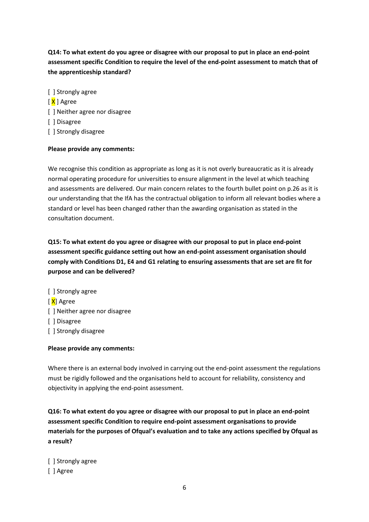**Q14: To what extent do you agree or disagree with our proposal to put in place an end-point assessment specific Condition to require the level of the end-point assessment to match that of the apprenticeship standard?**

- [ ] Strongly agree
- [ X ] Agree
- [ ] Neither agree nor disagree
- [ ] Disagree
- [ ] Strongly disagree

#### **Please provide any comments:**

We recognise this condition as appropriate as long as it is not overly bureaucratic as it is already normal operating procedure for universities to ensure alignment in the level at which teaching and assessments are delivered. Our main concern relates to the fourth bullet point on p.26 as it is our understanding that the IfA has the contractual obligation to inform all relevant bodies where a standard or level has been changed rather than the awarding organisation as stated in the consultation document.

**Q15: To what extent do you agree or disagree with our proposal to put in place end-point assessment specific guidance setting out how an end-point assessment organisation should comply with Conditions D1, E4 and G1 relating to ensuring assessments that are set are fit for purpose and can be delivered?**

[ ] Strongly agree [ X] Agree [] Neither agree nor disagree [ ] Disagree [ ] Strongly disagree

#### **Please provide any comments:**

Where there is an external body involved in carrying out the end-point assessment the regulations must be rigidly followed and the organisations held to account for reliability, consistency and objectivity in applying the end-point assessment.

**Q16: To what extent do you agree or disagree with our proposal to put in place an end-point assessment specific Condition to require end-point assessment organisations to provide materials for the purposes of Ofqual's evaluation and to take any actions specified by Ofqual as a result?**

[ ] Strongly agree [ ] Agree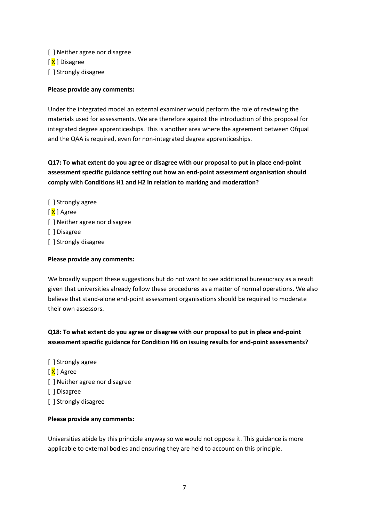[ ] Neither agree nor disagree [X ] Disagree [ ] Strongly disagree

#### **Please provide any comments:**

Under the integrated model an external examiner would perform the role of reviewing the materials used for assessments. We are therefore against the introduction of this proposal for integrated degree apprenticeships. This is another area where the agreement between Ofqual and the QAA is required, even for non-integrated degree apprenticeships.

**Q17: To what extent do you agree or disagree with our proposal to put in place end-point assessment specific guidance setting out how an end-point assessment organisation should comply with Conditions H1 and H2 in relation to marking and moderation?**

[ ] Strongly agree [ <mark>X</mark> ] Agree [] Neither agree nor disagree [ ] Disagree [ ] Strongly disagree

#### **Please provide any comments:**

We broadly support these suggestions but do not want to see additional bureaucracy as a result given that universities already follow these procedures as a matter of normal operations. We also believe that stand-alone end-point assessment organisations should be required to moderate their own assessors.

**Q18: To what extent do you agree or disagree with our proposal to put in place end-point assessment specific guidance for Condition H6 on issuing results for end-point assessments?**

- [ ] Strongly agree
- [ X ] Agree
- [] Neither agree nor disagree
- [ ] Disagree
- [ ] Strongly disagree

#### **Please provide any comments:**

Universities abide by this principle anyway so we would not oppose it. This guidance is more applicable to external bodies and ensuring they are held to account on this principle.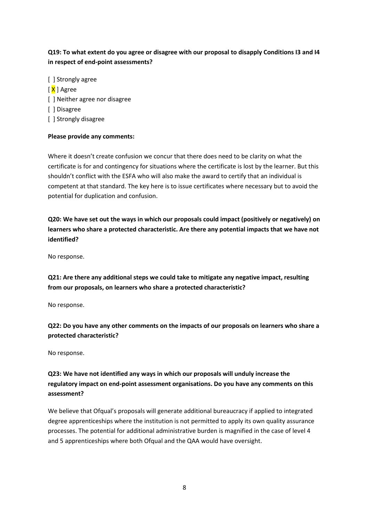# **Q19: To what extent do you agree or disagree with our proposal to disapply Conditions I3 and I4 in respect of end-point assessments?**

- [ ] Strongly agree
- [ X ] Agree
- [ ] Neither agree nor disagree
- [ ] Disagree
- [ ] Strongly disagree

## **Please provide any comments:**

Where it doesn't create confusion we concur that there does need to be clarity on what the certificate is for and contingency for situations where the certificate is lost by the learner. But this shouldn't conflict with the ESFA who will also make the award to certify that an individual is competent at that standard. The key here is to issue certificates where necessary but to avoid the potential for duplication and confusion.

**Q20: We have set out the ways in which our proposals could impact (positively or negatively) on learners who share a protected characteristic. Are there any potential impacts that we have not identified?**

No response.

**Q21: Are there any additional steps we could take to mitigate any negative impact, resulting from our proposals, on learners who share a protected characteristic?**

No response.

**Q22: Do you have any other comments on the impacts of our proposals on learners who share a protected characteristic?**

No response.

# **Q23: We have not identified any ways in which our proposals will unduly increase the regulatory impact on end-point assessment organisations. Do you have any comments on this assessment?**

We believe that Ofqual's proposals will generate additional bureaucracy if applied to integrated degree apprenticeships where the institution is not permitted to apply its own quality assurance processes. The potential for additional administrative burden is magnified in the case of level 4 and 5 apprenticeships where both Ofqual and the QAA would have oversight.